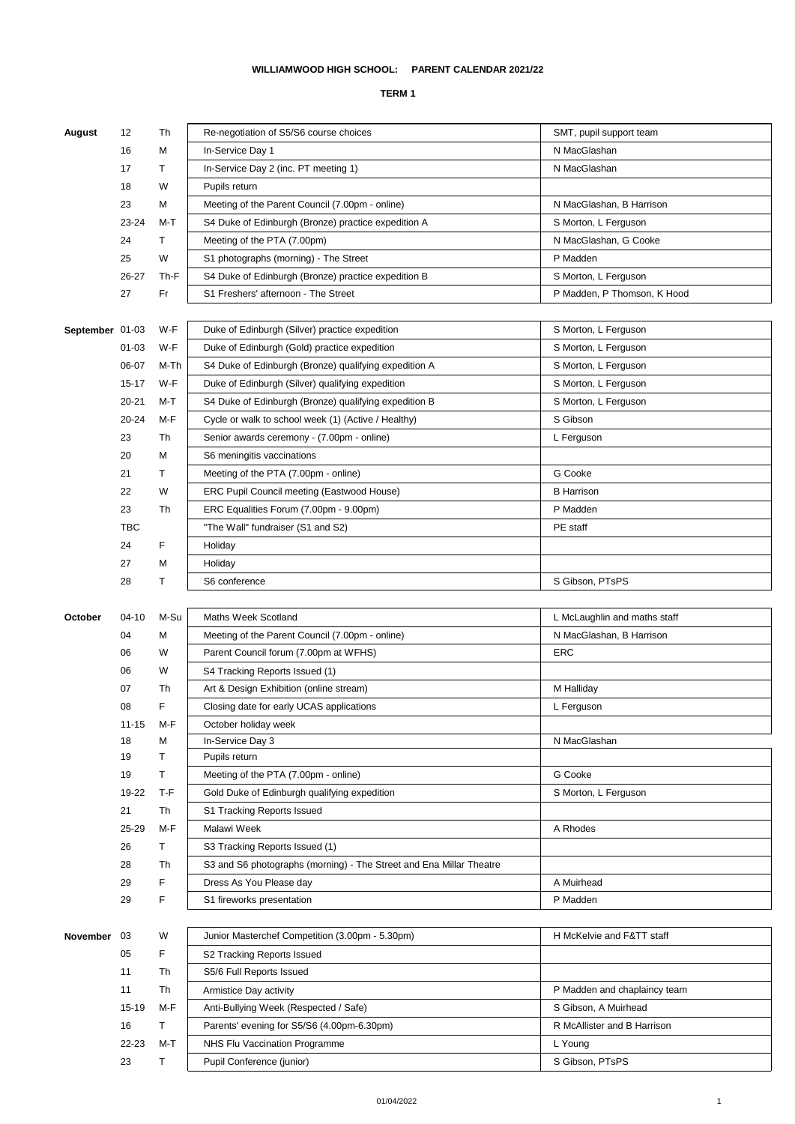## **TERM 1**

| August          | 12        | Th   | Re-negotiation of S5/S6 course choices                              | SMT, pupil support team      |
|-----------------|-----------|------|---------------------------------------------------------------------|------------------------------|
|                 | 16        | M    | In-Service Day 1                                                    | N MacGlashan                 |
|                 | 17        | т    | In-Service Day 2 (inc. PT meeting 1)                                | N MacGlashan                 |
|                 | 18        | W    | Pupils return                                                       |                              |
|                 | 23        | М    | Meeting of the Parent Council (7.00pm - online)                     | N MacGlashan, B Harrison     |
|                 | 23-24     | M-T  | S4 Duke of Edinburgh (Bronze) practice expedition A                 | S Morton, L Ferguson         |
|                 | 24        | т    | Meeting of the PTA (7.00pm)                                         | N MacGlashan, G Cooke        |
|                 | 25        | W    | S1 photographs (morning) - The Street                               | P Madden                     |
|                 |           |      |                                                                     |                              |
|                 | 26-27     | Th-F | S4 Duke of Edinburgh (Bronze) practice expedition B                 | S Morton, L Ferguson         |
|                 | 27        | Fr   | S1 Freshers' afternoon - The Street                                 | P Madden, P Thomson, K Hood  |
| September 01-03 |           | W-F  | Duke of Edinburgh (Silver) practice expedition                      |                              |
|                 | $01 - 03$ | W-F  |                                                                     | S Morton, L Ferguson         |
|                 |           |      | Duke of Edinburgh (Gold) practice expedition                        | S Morton, L Ferguson         |
|                 | 06-07     | M-Th | S4 Duke of Edinburgh (Bronze) qualifying expedition A               | S Morton, L Ferguson         |
|                 | 15-17     | W-F  | Duke of Edinburgh (Silver) qualifying expedition                    | S Morton, L Ferguson         |
|                 | $20 - 21$ | M-T  | S4 Duke of Edinburgh (Bronze) qualifying expedition B               | S Morton, L Ferguson         |
|                 | 20-24     | M-F  | Cycle or walk to school week (1) (Active / Healthy)                 | S Gibson                     |
|                 | 23        | Th   | Senior awards ceremony - (7.00pm - online)                          | L Ferguson                   |
|                 | 20        | М    | S6 meningitis vaccinations                                          |                              |
|                 | 21        | Т    | Meeting of the PTA (7.00pm - online)                                | G Cooke                      |
|                 | 22        | W    | ERC Pupil Council meeting (Eastwood House)                          | <b>B</b> Harrison            |
|                 | 23        | Th   | ERC Equalities Forum (7.00pm - 9.00pm)                              | P Madden                     |
|                 | TBC       |      | "The Wall" fundraiser (S1 and S2)                                   | PE staff                     |
|                 | 24        | F    | Holiday                                                             |                              |
|                 | 27        | M    | Holiday                                                             |                              |
|                 | 28        | Т    | S6 conference                                                       | S Gibson, PTsPS              |
|                 |           |      |                                                                     |                              |
|                 |           |      |                                                                     |                              |
| October         | 04-10     | M-Su | Maths Week Scotland                                                 | L McLaughlin and maths staff |
|                 | 04        | М    | Meeting of the Parent Council (7.00pm - online)                     | N MacGlashan, B Harrison     |
|                 | 06        | W    | Parent Council forum (7.00pm at WFHS)                               | <b>ERC</b>                   |
|                 | 06        | W    | S4 Tracking Reports Issued (1)                                      |                              |
|                 | 07        | Th   | Art & Design Exhibition (online stream)                             | M Halliday                   |
|                 | 08        | F    | Closing date for early UCAS applications                            | L Ferguson                   |
|                 | $11 - 15$ | M-F  | October holiday week                                                |                              |
|                 | 18        | М    | In-Service Day 3                                                    | N MacGlashan                 |
|                 | 19        | т    | Pupils return                                                       |                              |
|                 | 19        | т    | Meeting of the PTA (7.00pm - online)                                | G Cooke                      |
|                 | 19-22     | T-F  | Gold Duke of Edinburgh qualifying expedition                        | S Morton, L Ferguson         |
|                 | 21        | Th   | S1 Tracking Reports Issued                                          |                              |
|                 | 25-29     | M-F  | Malawi Week                                                         | A Rhodes                     |
|                 | 26        | Т    | S3 Tracking Reports Issued (1)                                      |                              |
|                 | 28        | Th   | S3 and S6 photographs (morning) - The Street and Ena Millar Theatre |                              |
|                 | 29        | F    | Dress As You Please day                                             | A Muirhead                   |
|                 | 29        | F    | S1 fireworks presentation                                           | P Madden                     |
|                 |           |      |                                                                     |                              |
| November        | 03        | W    | Junior Masterchef Competition (3.00pm - 5.30pm)                     | H McKelvie and F&TT staff    |
|                 | 05        | F    | S2 Tracking Reports Issued                                          |                              |
|                 | 11        | Th   | S5/6 Full Reports Issued                                            |                              |
|                 | 11        | Th   | Armistice Day activity                                              | P Madden and chaplaincy team |
|                 | 15-19     | M-F  | Anti-Bullying Week (Respected / Safe)                               | S Gibson, A Muirhead         |
|                 | 16        | т    | Parents' evening for S5/S6 (4.00pm-6.30pm)                          | R McAllister and B Harrison  |
|                 | 22-23     | M-T  | NHS Flu Vaccination Programme                                       | L Young                      |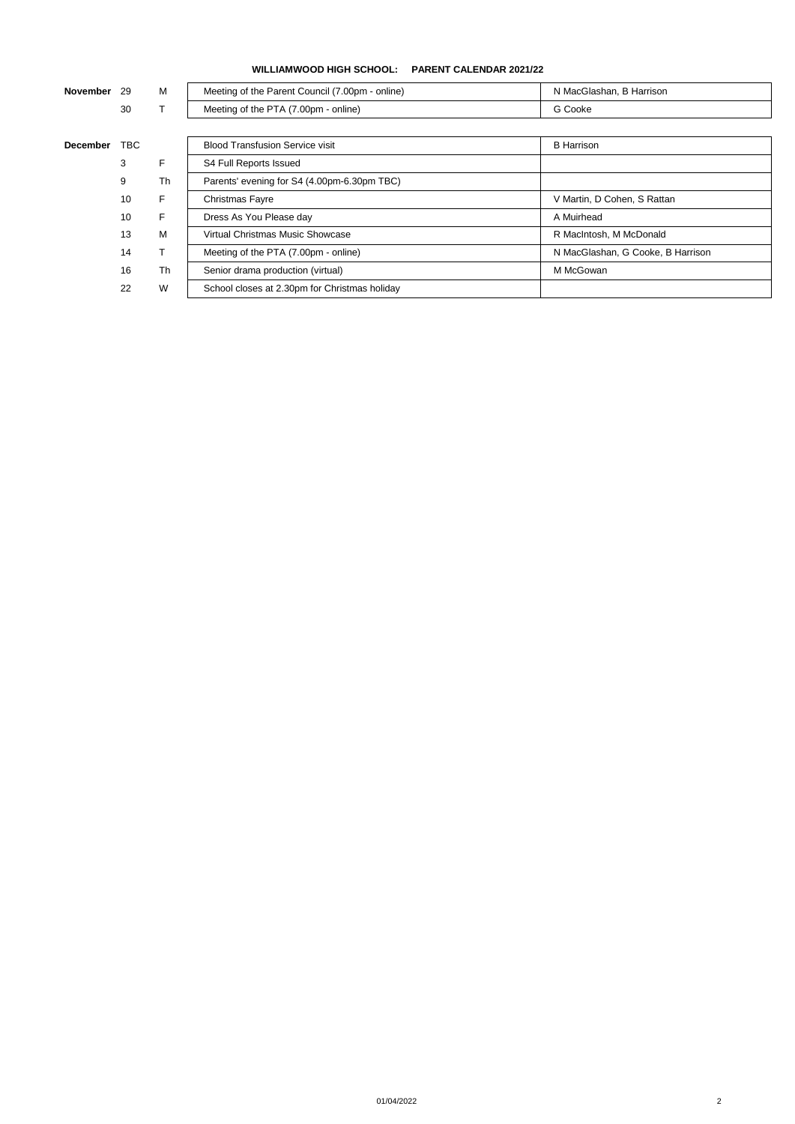**WILLIAMWOOD HIGH SCHOOL: PARENT CALENDAR 2021/22**

| <b>November</b> | -29        | м  | Meeting of the Parent Council (7.00pm - online) | N MacGlashan, B Harrison          |
|-----------------|------------|----|-------------------------------------------------|-----------------------------------|
|                 | 30         |    | Meeting of the PTA (7.00pm - online)            | G Cooke                           |
|                 |            |    |                                                 |                                   |
| <b>December</b> | <b>TBC</b> |    | <b>Blood Transfusion Service visit</b>          | <b>B</b> Harrison                 |
|                 | 3          | F  | S4 Full Reports Issued                          |                                   |
|                 | 9          | Th | Parents' evening for S4 (4.00pm-6.30pm TBC)     |                                   |
|                 | 10         | F. | Christmas Fayre                                 | V Martin, D Cohen, S Rattan       |
|                 | 10         | F. | Dress As You Please day                         | A Muirhead                        |
|                 | 13         | м  | Virtual Christmas Music Showcase                | R MacIntosh, M McDonald           |
|                 | 14         | T. | Meeting of the PTA (7.00pm - online)            | N MacGlashan, G Cooke, B Harrison |
|                 | 16         | Th | Senior drama production (virtual)               | M McGowan                         |
|                 | 22         | W  | School closes at 2.30pm for Christmas holiday   |                                   |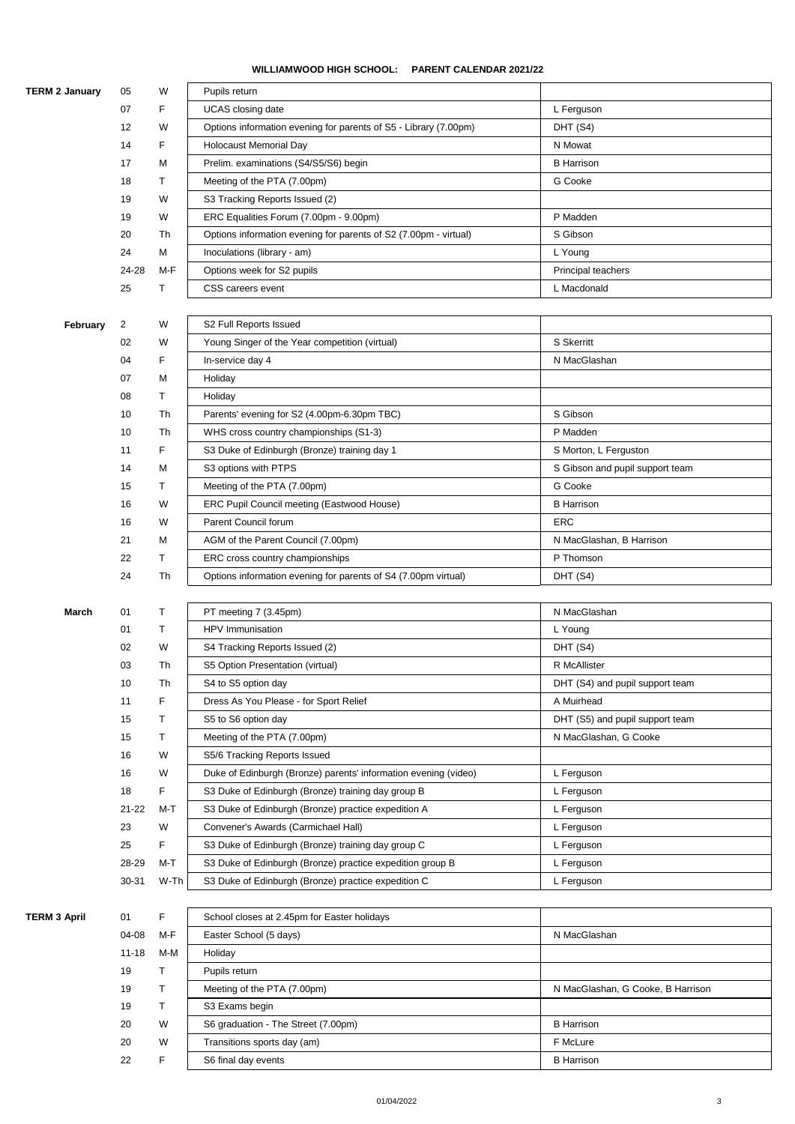## **WILLIAMWOOD HIGH SCHOOL: PARENT CALENDAR 2021/22**

| <b>TERM 2 January</b> | 05             | W    | Pupils return                                                    |                                   |
|-----------------------|----------------|------|------------------------------------------------------------------|-----------------------------------|
|                       | 07             | F    | <b>UCAS</b> closing date                                         | L Ferguson                        |
|                       | 12             | W    | Options information evening for parents of S5 - Library (7.00pm) | DHT (S4)                          |
|                       | 14             | F    | <b>Holocaust Memorial Day</b>                                    | N Mowat                           |
|                       | 17             | M    | Prelim. examinations (S4/S5/S6) begin                            | <b>B</b> Harrison                 |
|                       | 18             | т    | Meeting of the PTA (7.00pm)                                      | G Cooke                           |
|                       | 19             | W    | S3 Tracking Reports Issued (2)                                   |                                   |
|                       | 19             | W    | ERC Equalities Forum (7.00pm - 9.00pm)                           | P Madden                          |
|                       | 20             | Th   | Options information evening for parents of S2 (7.00pm - virtual) | S Gibson                          |
|                       | 24             | М    | Inoculations (library - am)                                      | L Young                           |
|                       | 24-28          | M-F  | Options week for S2 pupils                                       | Principal teachers                |
|                       | 25             | т    | CSS careers event                                                | L Macdonald                       |
|                       |                |      |                                                                  |                                   |
| February              | $\overline{2}$ | W    | S2 Full Reports Issued                                           |                                   |
|                       | 02             | W    | Young Singer of the Year competition (virtual)                   | S Skerritt                        |
|                       | 04             | F    | In-service day 4                                                 | N MacGlashan                      |
|                       | 07             | М    | Holiday                                                          |                                   |
|                       | 08             | Τ    |                                                                  |                                   |
|                       |                |      | Holiday<br>Parents' evening for S2 (4.00pm-6.30pm TBC)           | S Gibson                          |
|                       | 10             | Th   |                                                                  |                                   |
|                       | 10             | Th   | WHS cross country championships (S1-3)                           | P Madden                          |
|                       | 11             | F    | S3 Duke of Edinburgh (Bronze) training day 1                     | S Morton, L Ferguston             |
|                       | 14             | M    | S3 options with PTPS                                             | S Gibson and pupil support team   |
|                       | 15             | т    | Meeting of the PTA (7.00pm)                                      | G Cooke                           |
|                       | 16             | W    | ERC Pupil Council meeting (Eastwood House)                       | <b>B</b> Harrison                 |
|                       | 16             | W    | Parent Council forum                                             | <b>ERC</b>                        |
|                       | 21             | M    | AGM of the Parent Council (7.00pm)                               | N MacGlashan, B Harrison          |
|                       | 22             | т    | ERC cross country championships                                  | P Thomson                         |
|                       |                |      |                                                                  |                                   |
|                       | 24             | Th   | Options information evening for parents of S4 (7.00pm virtual)   | DHT (S4)                          |
|                       |                |      |                                                                  |                                   |
| March                 | 01             | т    | PT meeting 7 (3.45pm)                                            | N MacGlashan                      |
|                       | 01             | Τ    | HPV Immunisation                                                 | L Young                           |
|                       | 02             | W    | S4 Tracking Reports Issued (2)                                   | DHT (S4)                          |
|                       | 03             | Th   | S5 Option Presentation (virtual)                                 | R McAllister                      |
|                       | 10             | Th   | S4 to S5 option day                                              | DHT (S4) and pupil support team   |
|                       | 11             | F    | Dress As You Please - for Sport Relief                           | A Muirhead                        |
|                       | 15             | Т    | S5 to S6 option day                                              | DHT (S5) and pupil support team   |
|                       | 15             | Τ    | Meeting of the PTA (7.00pm)                                      | N MacGlashan, G Cooke             |
|                       | 16             | W    | S5/6 Tracking Reports Issued                                     |                                   |
|                       | 16             | W    | Duke of Edinburgh (Bronze) parents' information evening (video)  | L Ferguson                        |
|                       | 18             | F    | S3 Duke of Edinburgh (Bronze) training day group B               | L Ferguson                        |
|                       | $21 - 22$      | M-T  | S3 Duke of Edinburgh (Bronze) practice expedition A              | L Ferguson                        |
|                       | 23             | W    | Convener's Awards (Carmichael Hall)                              | L Ferguson                        |
|                       | 25             | F    | S3 Duke of Edinburgh (Bronze) training day group C               | L Ferguson                        |
|                       | 28-29          | M-T  | S3 Duke of Edinburgh (Bronze) practice expedition group B        | L Ferguson                        |
|                       | 30-31          | W-Th | S3 Duke of Edinburgh (Bronze) practice expedition C              | L Ferguson                        |
|                       |                |      |                                                                  |                                   |
| <b>TERM 3 April</b>   | 01             | F    | School closes at 2.45pm for Easter holidays                      |                                   |
|                       | 04-08          | M-F  | Easter School (5 days)                                           | N MacGlashan                      |
|                       | $11 - 18$      | M-M  | Holiday                                                          |                                   |
|                       | 19             | Т    | Pupils return                                                    |                                   |
|                       | 19             | т    | Meeting of the PTA (7.00pm)                                      | N MacGlashan, G Cooke, B Harrison |
|                       | 19             | т    | S3 Exams begin                                                   |                                   |
|                       | 20             | W    | S6 graduation - The Street (7.00pm)                              | <b>B</b> Harrison                 |
|                       | 20             | W    | Transitions sports day (am)                                      | F McLure                          |